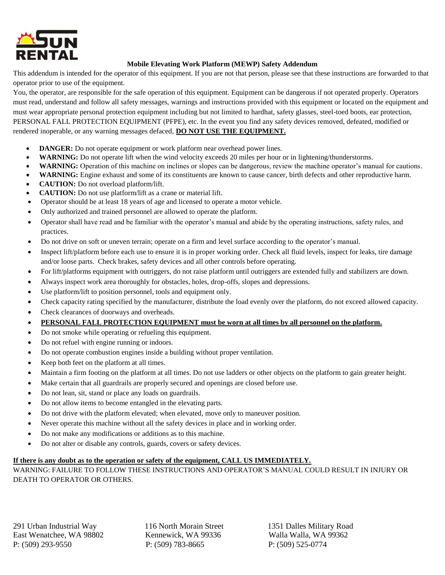

## **Mobile Elevating Work Platform (MEWP) Safety Addendum**

This addendum is intended for the operator of this equipment. If you are not that person, please see that these instructions are forwarded to that operator prior to use of the equipment.

You, the operator, are responsible for the safe operation of this equipment. Equipment can be dangerous if not operated properly. Operators must read, understand and follow all safety messages, warnings and instructions provided with this equipment or located on the equipment and must wear appropriate personal protection equipment including but not limited to hardhat, safety glasses, steel-toed boots, ear protection, PERSONAL FALL PROTECTION EQUIPMENT (PFPE), etc. In the event you find any safety devices removed, defeated, modified or rendered inoperable, or any warning messages defaced, **DO NOT USE THE EQUIPMENT.**

- **DANGER:** Do not operate equipment or work platform near overhead power lines.
- **WARNING:** Do not operate lift when the wind velocity exceeds 20 miles per hour or in lightening/thunderstorms.
- **WARNING:** Operation of this machine on inclines or slopes can be dangerous, review the machine operator's manual for cautions.
- **WARNING:** Engine exhaust and some of its constituents are known to cause cancer, birth defects and other reproductive harm.
- **CAUTION:** Do not overload platform/lift.
- **CAUTION:** Do not use platform/lift as a crane or material lift.
- Operator should be at least 18 years of age and licensed to operate a motor vehicle.
- Only authorized and trained personnel are allowed to operate the platform.
- Operator shall have read and be familiar with the operator's manual and abide by the operating instructions, safety rules, and practices.
- Do not drive on soft or uneven terrain; operate on a firm and level surface according to the operator's manual.
- Inspect lift/platform before each use to ensure it is in proper working order. Check all fluid levels, inspect for leaks, tire damage and/or loose parts. Check brakes, safety devices and all other controls before operating.
- For lift/platforms equipment with outriggers, do not raise platform until outriggers are extended fully and stabilizers are down.
- Always inspect work area thoroughly for obstacles, holes, drop-offs, slopes and depressions.
- Use platform/lift to position personnel, tools and equipment only.
- Check capacity rating specified by the manufacturer, distribute the load evenly over the platform, do not exceed allowed capacity.
- Check clearances of doorways and overheads.
- **PERSONAL FALL PROTECTION EQUIPMENT must be worn at all times by all personnel on the platform.**
- Do not smoke while operating or refueling this equipment.
- Do not refuel with engine running or indoors.
- Do not operate combustion engines inside a building without proper ventilation.
- Keep both feet on the platform at all times.
- Maintain a firm footing on the platform at all times. Do not use ladders or other objects on the platform to gain greater height.
- Make certain that all guardrails are properly secured and openings are closed before use.
- Do not lean, sit, stand or place any loads on guardrails.
- Do not allow items to become entangled in the elevating parts.
- Do not drive with the platform elevated; when elevated, move only to maneuver position.
- Never operate this machine without all the safety devices in place and in working order.
- Do not make any modifications or additions as to this machine.
- Do not alter or disable any controls, guards, covers or safety devices.

## **If there is any doubt as to the operation or safety of the equipment, CALL US IMMEDIATELY.**

WARNING: FAILURE TO FOLLOW THESE INSTRUCTIONS AND OPERATOR'S MANUAL COULD RESULT IN INJURY OR DEATH TO OPERATOR OR OTHERS.